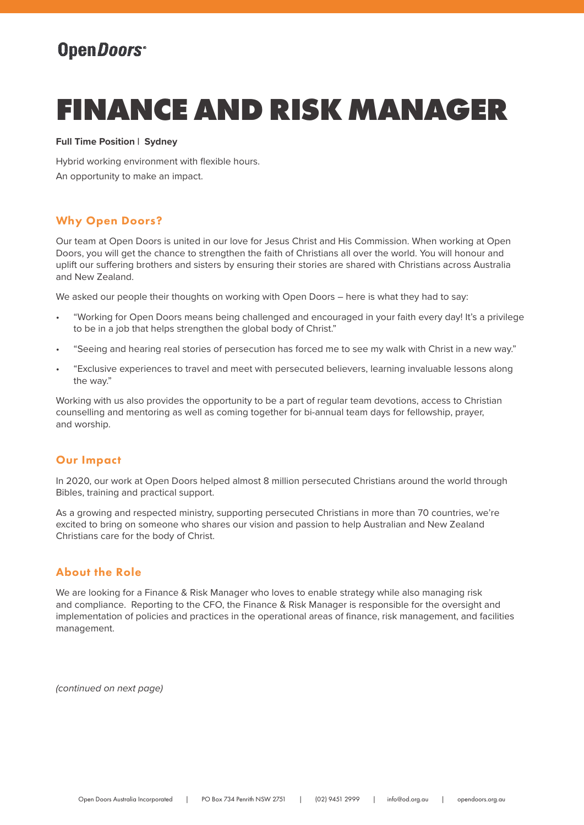# OpenDoors<sup>®</sup>

# **FINANCE AND RISK MANAGER**

#### **Full Time Position | Sydney**

Hybrid working environment with flexible hours. An opportunity to make an impact.

# Why Open Doors?

Our team at Open Doors is united in our love for Jesus Christ and His Commission. When working at Open Doors, you will get the chance to strengthen the faith of Christians all over the world. You will honour and uplift our suffering brothers and sisters by ensuring their stories are shared with Christians across Australia and New Zealand.

We asked our people their thoughts on working with Open Doors – here is what they had to say:

- "Working for Open Doors means being challenged and encouraged in your faith every day! It's a privilege to be in a job that helps strengthen the global body of Christ."
- "Seeing and hearing real stories of persecution has forced me to see my walk with Christ in a new way."
- "Exclusive experiences to travel and meet with persecuted believers, learning invaluable lessons along the way."

Working with us also provides the opportunity to be a part of regular team devotions, access to Christian counselling and mentoring as well as coming together for bi-annual team days for fellowship, prayer, and worship.

# Our Impact

In 2020, our work at Open Doors helped almost 8 million persecuted Christians around the world through Bibles, training and practical support.

As a growing and respected ministry, supporting persecuted Christians in more than 70 countries, we're excited to bring on someone who shares our vision and passion to help Australian and New Zealand Christians care for the body of Christ.

# About the Role

We are looking for a Finance & Risk Manager who loves to enable strategy while also managing risk and compliance. Reporting to the CFO, the Finance & Risk Manager is responsible for the oversight and implementation of policies and practices in the operational areas of finance, risk management, and facilities management.

*(continued on next page)*